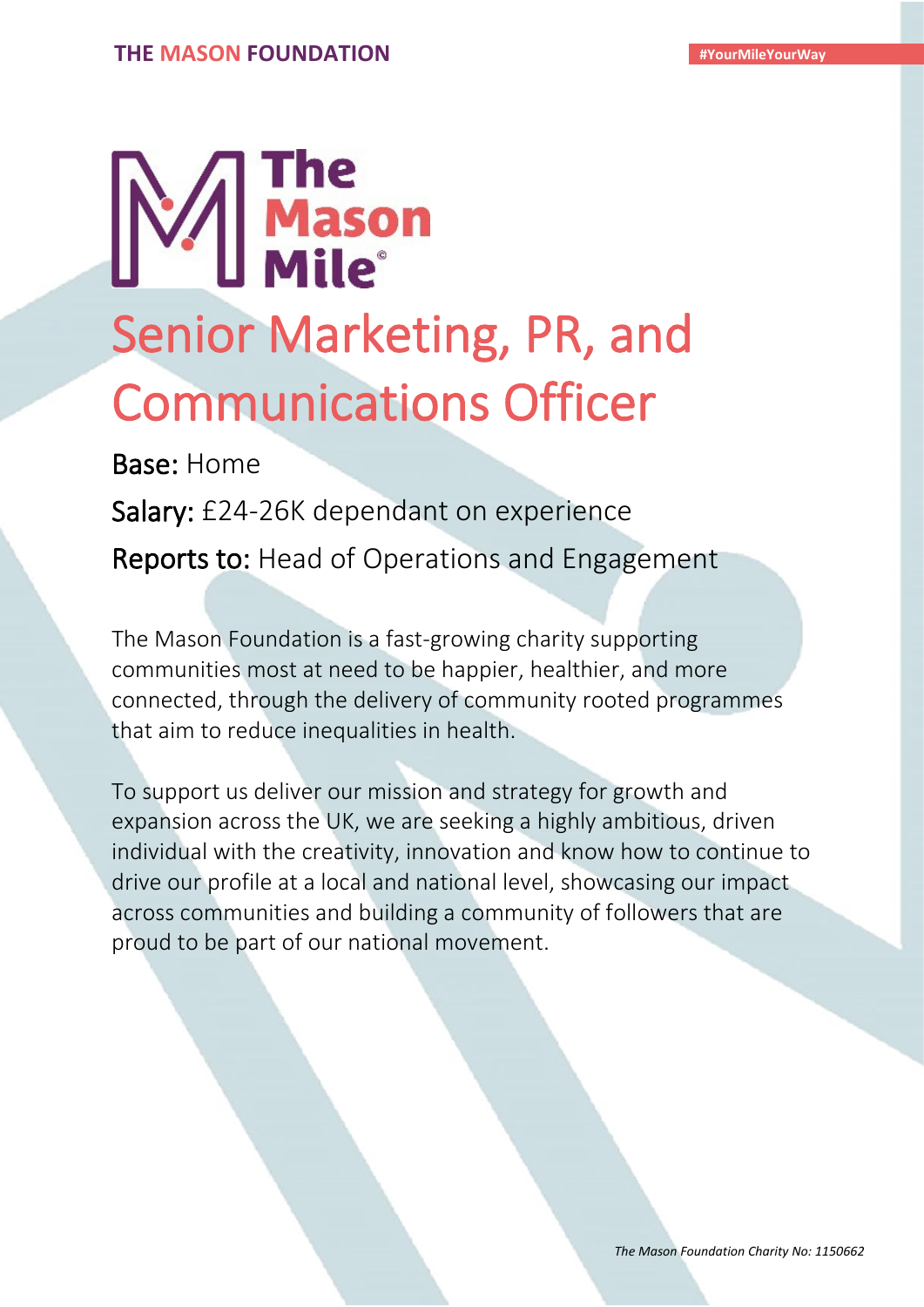# The<br>Mason<br>Mile<sup>®</sup> Senior Marketing, PR, and

Communications Officer

Salary: £24-26K dependant on experience

Reports to: Head of Operations and Engagement

The Mason Foundation is a fast-growing charity supporting communities most at need to be happier, healthier, and more connected, through the delivery of community rooted programmes that aim to reduce inequalities in health.

To support us deliver our mission and strategy for growth and expansion across the UK, we are seeking a highly ambitious, driven individual with the creativity, innovation and know how to continue to drive our profile at a local and national level, showcasing our impact across communities and building a community of followers that are proud to be part of our national movement.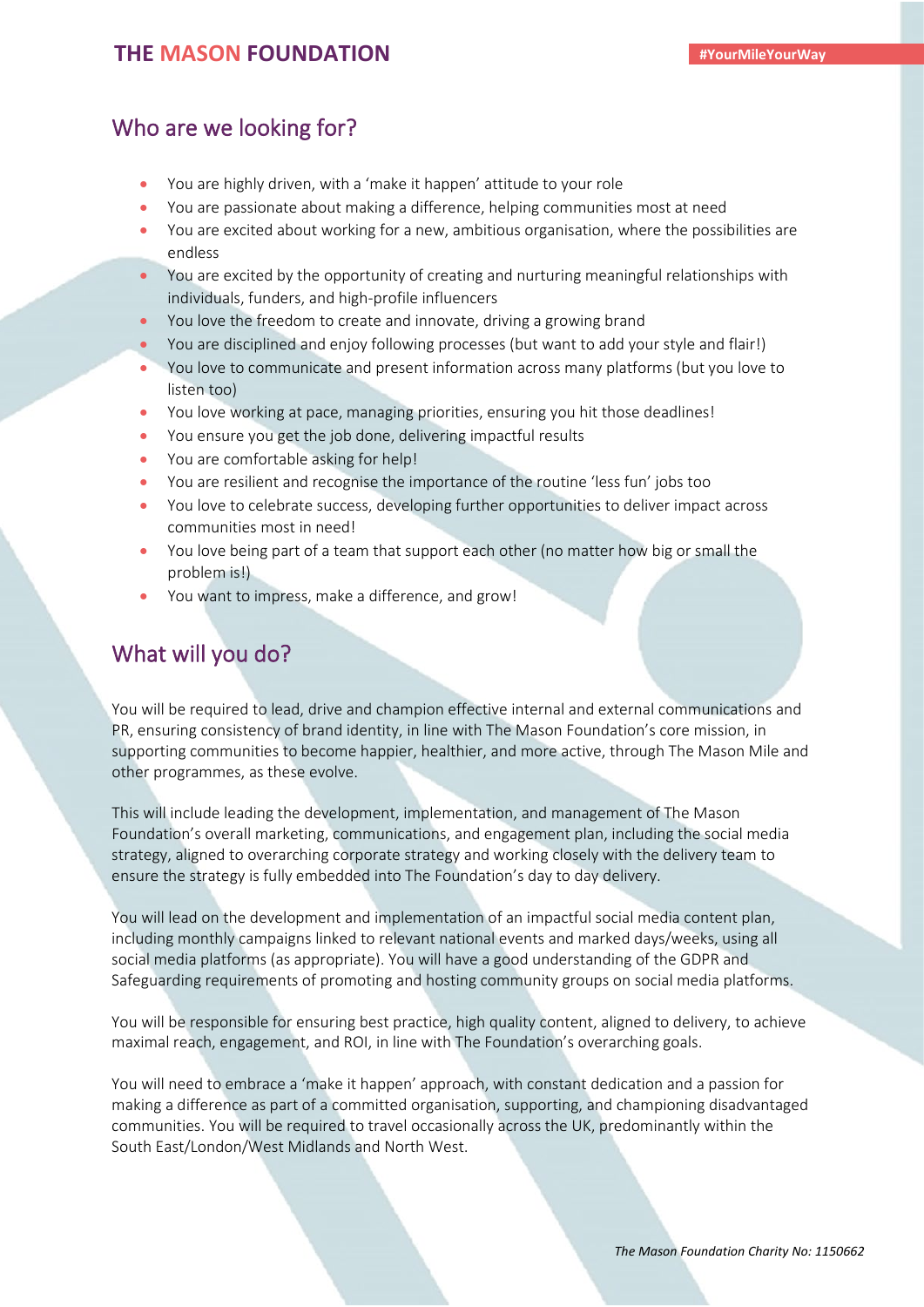# Who are we looking for?

- You are highly driven, with a 'make it happen' attitude to your role
- You are passionate about making a difference, helping communities most at need
- You are excited about working for a new, ambitious organisation, where the possibilities are endless
- You are excited by the opportunity of creating and nurturing meaningful relationships with individuals, funders, and high-profile influencers
- You love the freedom to create and innovate, driving a growing brand
- You are disciplined and enjoy following processes (but want to add your style and flair!)
- You love to communicate and present information across many platforms (but you love to listen too)
- You love working at pace, managing priorities, ensuring you hit those deadlines!
- You ensure you get the job done, delivering impactful results
- You are comfortable asking for help!
- You are resilient and recognise the importance of the routine 'less fun' jobs too
- You love to celebrate success, developing further opportunities to deliver impact across communities most in need!
- You love being part of a team that support each other (no matter how big or small the problem is!)
- You want to impress, make a difference, and grow!

# What will you do?

You will be required to lead, drive and champion effective internal and external communications and PR, ensuring consistency of brand identity, in line with The Mason Foundation's core mission, in supporting communities to become happier, healthier, and more active, through The Mason Mile and other programmes, as these evolve.

This will include leading the development, implementation, and management of The Mason Foundation's overall marketing, communications, and engagement plan, including the social media strategy, aligned to overarching corporate strategy and working closely with the delivery team to ensure the strategy is fully embedded into The Foundation's day to day delivery.

You will lead on the development and implementation of an impactful social media content plan, including monthly campaigns linked to relevant national events and marked days/weeks, using all social media platforms (as appropriate). You will have a good understanding of the GDPR and Safeguarding requirements of promoting and hosting community groups on social media platforms.

You will be responsible for ensuring best practice, high quality content, aligned to delivery, to achieve maximal reach, engagement, and ROI, in line with The Foundation's overarching goals.

You will need to embrace a 'make it happen' approach, with constant dedication and a passion for making a difference as part of a committed organisation, supporting, and championing disadvantaged communities. You will be required to travel occasionally across the UK, predominantly within the South East/London/West Midlands and North West.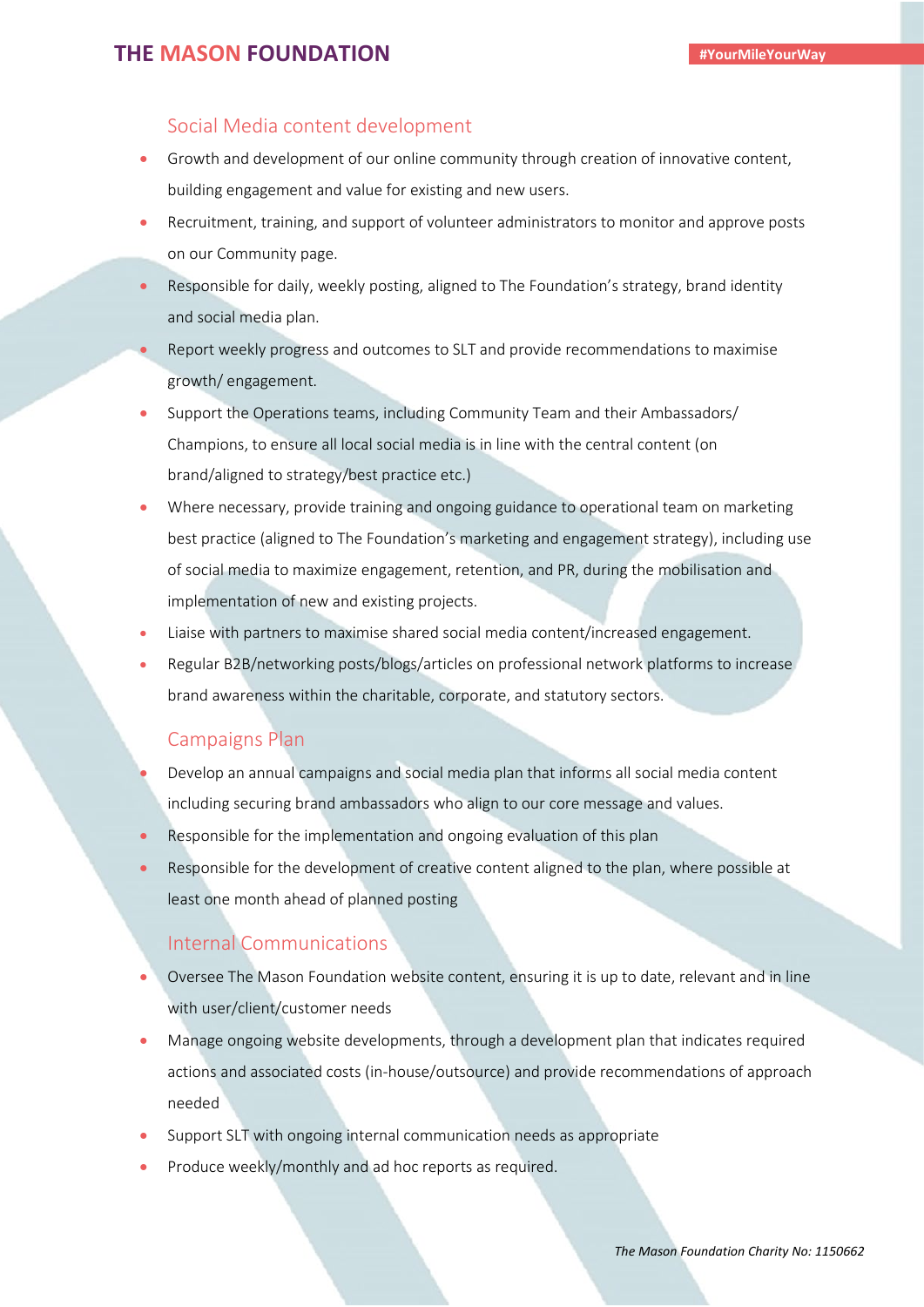#### Social Media content development

- Growth and development of our online community through creation of innovative content, building engagement and value for existing and new users.
- Recruitment, training, and support of volunteer administrators to monitor and approve posts on our Community page.
- Responsible for daily, weekly posting, aligned to The Foundation's strategy, brand identity and social media plan.
- Report weekly progress and outcomes to SLT and provide recommendations to maximise growth/ engagement.
- Support the Operations teams, including Community Team and their Ambassadors/ Champions, to ensure all local social media is in line with the central content (on brand/aligned to strategy/best practice etc.)
- Where necessary, provide training and ongoing guidance to operational team on marketing best practice (aligned to The Foundation's marketing and engagement strategy), including use of social media to maximize engagement, retention, and PR, during the mobilisation and implementation of new and existing projects.
- Liaise with partners to maximise shared social media content/increased engagement.
- Regular B2B/networking posts/blogs/articles on professional network platforms to increase brand awareness within the charitable, corporate, and statutory sectors.

#### Campaigns Plan

- Develop an annual campaigns and social media plan that informs all social media content including securing brand ambassadors who align to our core message and values.
- Responsible for the implementation and ongoing evaluation of this plan
- Responsible for the development of creative content aligned to the plan, where possible at least one month ahead of planned posting

#### Internal Communications

- Oversee The Mason Foundation website content, ensuring it is up to date, relevant and in line with user/client/customer needs
- Manage ongoing website developments, through a development plan that indicates required actions and associated costs (in-house/outsource) and provide recommendations of approach needed
- Support SLT with ongoing internal communication needs as appropriate
- Produce weekly/monthly and ad hoc reports as required.